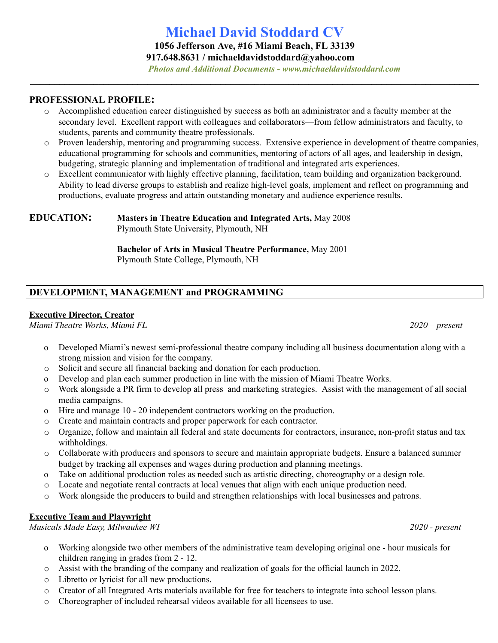# **Michael David Stoddard CV**

**1056 Jefferson Ave, #16 Miami Beach, FL 33139**

**917.648.8631 / [michaeldavidstoddard@yahoo.com](mailto:michaeldavidstoddard@yahoo.com)**

**\_\_\_\_\_\_\_\_\_\_\_\_\_\_\_\_\_\_\_\_\_\_\_\_\_\_\_\_\_\_\_\_\_\_\_\_\_\_\_\_\_\_\_\_\_\_\_\_\_\_\_\_\_\_\_\_\_\_\_\_\_\_\_\_\_\_\_\_\_\_\_\_\_\_\_\_\_\_\_\_\_\_\_\_\_\_\_\_\_\_\_\_**

*Photos and Additional Documents - [www.michaeldavidstoddard.com](http://www.michaeldavidstoddard.com/)*

#### **PROFESSIONAL PROFILE:**

- o Accomplished education career distinguished by success as both an administrator and a faculty member at the secondary level. Excellent rapport with colleagues and collaborators—from fellow administrators and faculty, to students, parents and community theatre professionals.
- o Proven leadership, mentoring and programming success. Extensive experience in development of theatre companies, educational programming for schools and communities, mentoring of actors of all ages, and leadership in design, budgeting, strategic planning and implementation of traditional and integrated arts experiences.
- o Excellent communicator with highly effective planning, facilitation, team building and organization background. Ability to lead diverse groups to establish and realize high-level goals, implement and reflect on programming and productions, evaluate progress and attain outstanding monetary and audience experience results.

### **EDUCATION: Masters in Theatre Education and Integrated Arts,** May 2008

Plymouth State University, Plymouth, NH

**Bachelor of Arts in Musical Theatre Performance,** May 2001 Plymouth State College, Plymouth, NH

# **DEVELOPMENT, MANAGEMENT and PROGRAMMING**

#### **Executive Director, Creator**

*Miami Theatre Works, Miami FL 2020 – present*

- o Developed Miami's newest semi-professional theatre company including all business documentation along with a strong mission and vision for the company.
- o Solicit and secure all financial backing and donation for each production.
- o Develop and plan each summer production in line with the mission of Miami Theatre Works.
- o Work alongside a PR firm to develop all press and marketing strategies. Assist with the management of all social media campaigns.
- o Hire and manage 10 20 independent contractors working on the production.
- o Create and maintain contracts and proper paperwork for each contractor.
- o Organize, follow and maintain all federal and state documents for contractors, insurance, non-profit status and tax withholdings.
- o Collaborate with producers and sponsors to secure and maintain appropriate budgets. Ensure a balanced summer budget by tracking all expenses and wages during production and planning meetings.
- o Take on additional production roles as needed such as artistic directing, choreography or a design role.
- o Locate and negotiate rental contracts at local venues that align with each unique production need.
- o Work alongside the producers to build and strengthen relationships with local businesses and patrons.

#### **Executive Team and Playwright**

*Musicals Made Easy, Milwaukee WI 2020 - present*

- o Working alongside two other members of the administrative team developing original one hour musicals for children ranging in grades from 2 - 12.
- o Assist with the branding of the company and realization of goals for the official launch in 2022.
- o Libretto or lyricist for all new productions.
- o Creator of all Integrated Arts materials available for free for teachers to integrate into school lesson plans.
- o Choreographer of included rehearsal videos available for all licensees to use.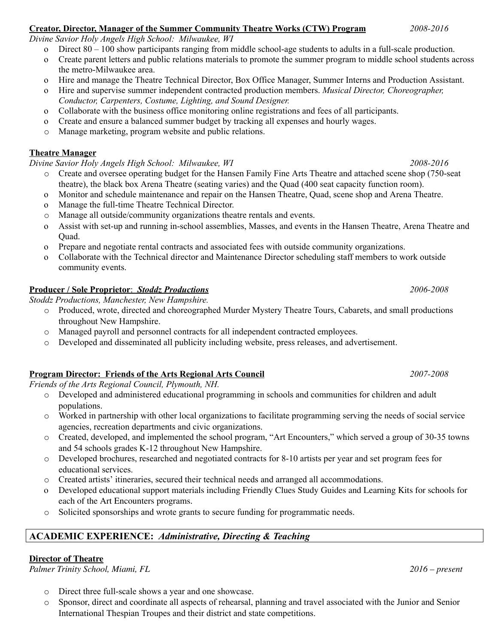### **Creator, Director, Manager of the Summer Community Theatre Works (CTW) Program** *2008-2016*

*Divine Savior Holy Angels High School: Milwaukee, WI*

- o Direct 80 100 show participants ranging from middle school-age students to adults in a full-scale production.
- o Create parent letters and public relations materials to promote the summer program to middle school students across the metro-Milwaukee area.
- o Hire and manage the Theatre Technical Director, Box Office Manager, Summer Interns and Production Assistant.
- o Hire and supervise summer independent contracted production members. *Musical Director, Choreographer, Conductor, Carpenters, Costume, Lighting, and Sound Designer.*
- o Collaborate with the business office monitoring online registrations and fees of all participants.
- o Create and ensure a balanced summer budget by tracking all expenses and hourly wages.
- o Manage marketing, program website and public relations.

### **Theatre Manager**

*Divine Savior Holy Angels High School: Milwaukee, WI 2008-2016*

- o Create and oversee operating budget for the Hansen Family Fine Arts Theatre and attached scene shop (750-seat theatre), the black box Arena Theatre (seating varies) and the Quad (400 seat capacity function room).
- o Monitor and schedule maintenance and repair on the Hansen Theatre, Quad, scene shop and Arena Theatre.
- o Manage the full-time Theatre Technical Director.
- o Manage all outside/community organizations theatre rentals and events.
- o Assist with set-up and running in-school assemblies, Masses, and events in the Hansen Theatre, Arena Theatre and Quad.
- o Prepare and negotiate rental contracts and associated fees with outside community organizations.
- o Collaborate with the Technical director and Maintenance Director scheduling staff members to work outside community events.

#### **Producer / Sole Proprietor**: *Stoddz Productions 2006-2008*

*Stoddz Productions, Manchester, New Hampshire.*

- o Produced, wrote, directed and choreographed Murder Mystery Theatre Tours, Cabarets, and small productions throughout New Hampshire.
- o Managed payroll and personnel contracts for all independent contracted employees.
- o Developed and disseminated all publicity including website, press releases, and advertisement.

#### **Program Director: Friends of the Arts Regional Arts Council** *2007-2008*

*Friends of the Arts Regional Council, Plymouth, NH.*

- o Developed and administered educational programming in schools and communities for children and adult populations.
- o Worked in partnership with other local organizations to facilitate programming serving the needs of social service agencies, recreation departments and civic organizations.
- o Created, developed, and implemented the school program, "Art Encounters," which served a group of 30-35 towns and 54 schools grades K-12 throughout New Hampshire.
- o Developed brochures, researched and negotiated contracts for 8-10 artists per year and set program fees for educational services.
- o Created artists' itineraries, secured their technical needs and arranged all accommodations.
- o Developed educational support materials including Friendly Clues Study Guides and Learning Kits for schools for each of the Art Encounters programs.
- o Solicited sponsorships and wrote grants to secure funding for programmatic needs.

# **ACADEMIC EXPERIENCE:** *Administrative, Directing & Teaching*

# **Director of Theatre**

*Palmer Trinity School, Miami, FL 2016 – present*

- o Direct three full-scale shows a year and one showcase.
- o Sponsor, direct and coordinate all aspects of rehearsal, planning and travel associated with the Junior and Senior International Thespian Troupes and their district and state competitions.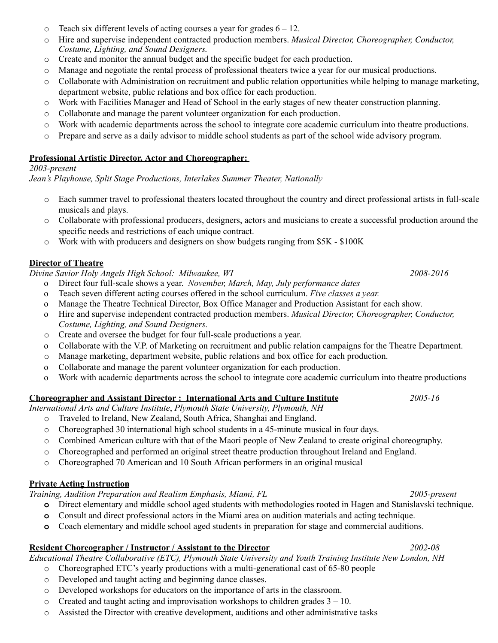- $\circ$  Teach six different levels of acting courses a year for grades  $6 12$ .
- o Hire and supervise independent contracted production members. *Musical Director, Choreographer, Conductor, Costume, Lighting, and Sound Designers.*
- o Create and monitor the annual budget and the specific budget for each production.
- o Manage and negotiate the rental process of professional theaters twice a year for our musical productions.
- o Collaborate with Administration on recruitment and public relation opportunities while helping to manage marketing, department website, public relations and box office for each production.
- o Work with Facilities Manager and Head of School in the early stages of new theater construction planning.
- o Collaborate and manage the parent volunteer organization for each production.
- o Work with academic departments across the school to integrate core academic curriculum into theatre productions.
- o Prepare and serve as a daily advisor to middle school students as part of the school wide advisory program.

### **Professional Artistic Director, Actor and Choreographer:**

#### *2003-present*

*Jean's Playhouse, Split Stage Productions, Interlakes Summer Theater, Nationally*

- o Each summer travel to professional theaters located throughout the country and direct professional artists in full-scale musicals and plays.
- o Collaborate with professional producers, designers, actors and musicians to create a successful production around the specific needs and restrictions of each unique contract.
- o Work with with producers and designers on show budgets ranging from \$5K \$100K

# **Director of Theatre**

*Divine Savior Holy Angels High School: Milwaukee, WI 2008-2016*

- o Direct four full-scale shows a year. *November, March, May, July performance dates*
- o Teach seven different acting courses offered in the school curriculum. *Five classes a year.*
- o Manage the Theatre Technical Director, Box Office Manager and Production Assistant for each show.
- o Hire and supervise independent contracted production members. *Musical Director, Choreographer, Conductor, Costume, Lighting, and Sound Designers.*
- o Create and oversee the budget for four full-scale productions a year.
- o Collaborate with the V.P. of Marketing on recruitment and public relation campaigns for the Theatre Department.
- o Manage marketing, department website, public relations and box office for each production.
- o Collaborate and manage the parent volunteer organization for each production.
- o Work with academic departments across the school to integrate core academic curriculum into theatre productions

#### **Choreographer and Assistant Director : International Arts and Culture Institute** *2005-16*

*International Arts and Culture Institute*, *Plymouth State University, Plymouth, NH*

- o Traveled to Ireland, New Zealand, South Africa, Shanghai and England.
- o Choreographed 30 international high school students in a 45-minute musical in four days.
- o Combined American culture with that of the Maori people of New Zealand to create original choreography.
- o Choreographed and performed an original street theatre production throughout Ireland and England.
- o Choreographed 70 American and 10 South African performers in an original musical

# **Private Acting Instruction**

*Training, Audition Preparation and Realism Emphasis, Miami, FL 2005-present*

- **o** Direct elementary and middle school aged students with methodologies rooted in Hagen and Stanislavski technique.
- **o** Consult and direct professional actors in the Miami area on audition materials and acting technique.
- **o** Coach elementary and middle school aged students in preparation for stage and commercial auditions.

# **Resident Choreographer / Instructor / Assistant to the Director** *2002-08*

*Educational Theatre Collaborative (ETC), Plymouth State University and Youth Training Institute New London, NH*

- o Choreographed ETC's yearly productions with a multi-generational cast of 65-80 people
- o Developed and taught acting and beginning dance classes.
- o Developed workshops for educators on the importance of arts in the classroom.
- $\circ$  Created and taught acting and improvisation workshops to children grades  $3 10$ .
- o Assisted the Director with creative development, auditions and other administrative tasks